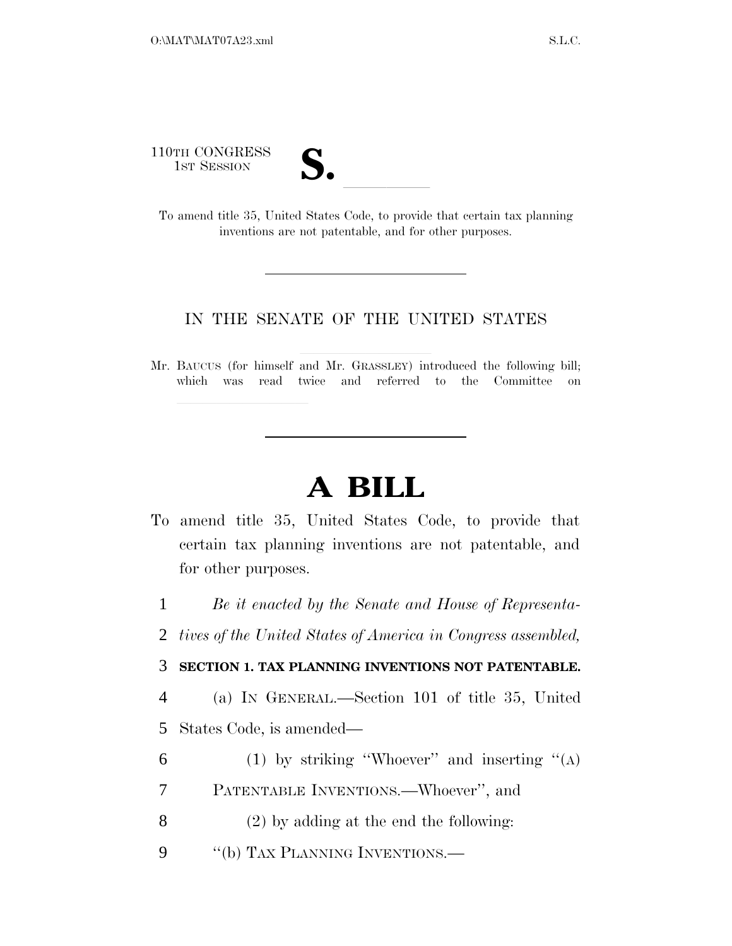110TH CONGRESS

| $\mathbf{v}$<br>$\bullet$ |  |
|---------------------------|--|
|                           |  |

1ST SESSION **S. S. All To amend title 35, United States Code, to provide that certain tax planning** inventions are not patentable, and for other purposes.

## IN THE SENATE OF THE UNITED STATES

Mr. BAUCUS (for himself and Mr. GRASSLEY) introduced the following bill; which was read twice and referred to the Committee on

## **A BILL**

To amend title 35, United States Code, to provide that certain tax planning inventions are not patentable, and for other purposes.

1 *Be it enacted by the Senate and House of Representa-*

2 *tives of the United States of America in Congress assembled,* 

3 **SECTION 1. TAX PLANNING INVENTIONS NOT PATENTABLE.** 

4 (a) IN GENERAL.—Section 101 of title 35, United 5 States Code, is amended—

- 6 (1) by striking "Whoever" and inserting  $(4)$
- 7 PATENTABLE INVENTIONS.—Whoever'', and
- 8 (2) by adding at the end the following:
- 9 "(b) TAX PLANNING INVENTIONS.—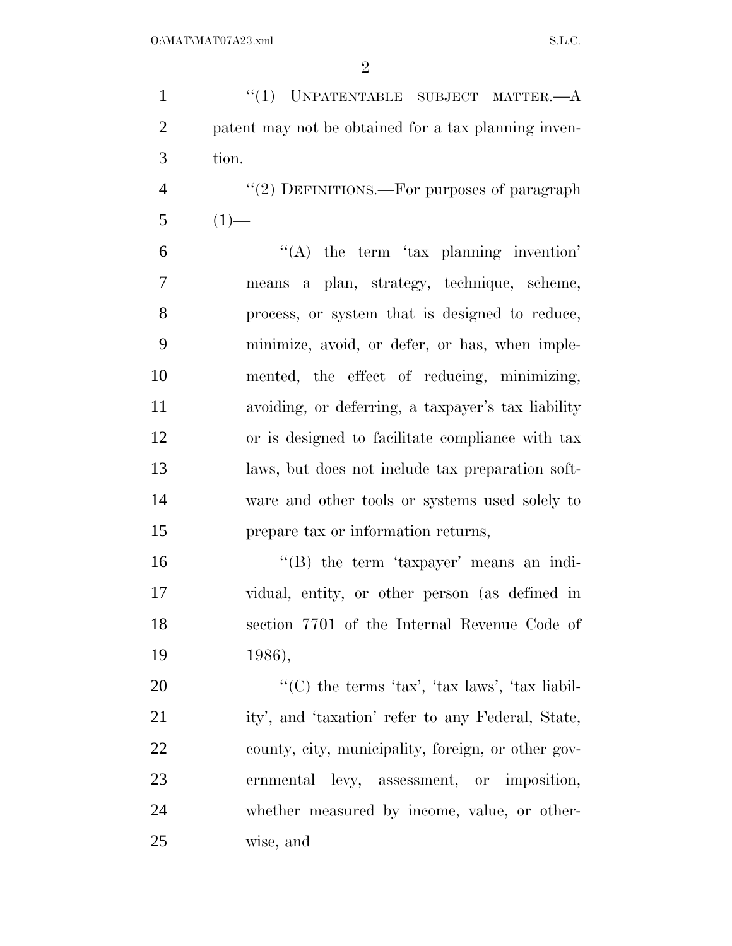1 "(1) UNPATENTABLE SUBJECT MATTER.—A patent may not be obtained for a tax planning inven- tion. 4 "(2) DEFINITIONS.—For purposes of paragraph  $5(1)$ —  $(6)$   $(4)$  the term 'tax planning invention' means a plan, strategy, technique, scheme, process, or system that is designed to reduce, minimize, avoid, or defer, or has, when imple- mented, the effect of reducing, minimizing, avoiding, or deferring, a taxpayer's tax liability or is designed to facilitate compliance with tax laws, but does not include tax preparation soft- ware and other tools or systems used solely to prepare tax or information returns, ''(B) the term 'taxpayer' means an indi- vidual, entity, or other person (as defined in section 7701 of the Internal Revenue Code of 1986),  $\text{``(C) the terms 'tax', 'tax laws', 'tax liability'}.$  ity', and 'taxation' refer to any Federal, State, county, city, municipality, foreign, or other gov- ernmental levy, assessment, or imposition, whether measured by income, value, or other-wise, and